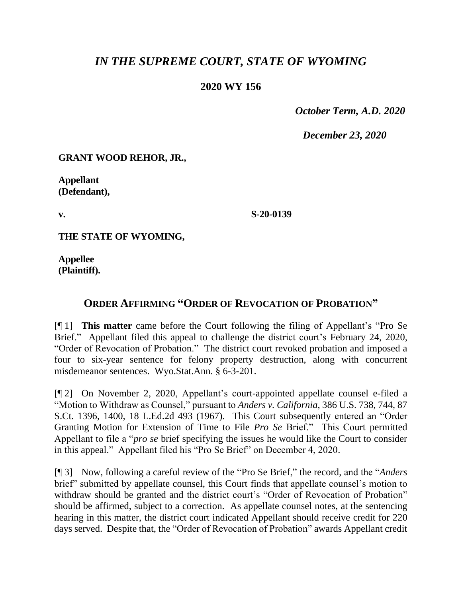## *IN THE SUPREME COURT, STATE OF WYOMING*

## **2020 WY 156**

 *October Term, A.D. 2020*

*December 23, 2020*

**GRANT WOOD REHOR, JR.,**

**Appellant (Defendant),**

**v.**

**S-20-0139**

**THE STATE OF WYOMING,**

**Appellee (Plaintiff).**

## **ORDER AFFIRMING "ORDER OF REVOCATION OF PROBATION"**

[¶ 1] **This matter** came before the Court following the filing of Appellant's "Pro Se Brief." Appellant filed this appeal to challenge the district court's February 24, 2020, "Order of Revocation of Probation." The district court revoked probation and imposed a four to six-year sentence for felony property destruction, along with concurrent misdemeanor sentences. Wyo.Stat.Ann. § 6-3-201.

[¶ 2] On November 2, 2020, Appellant's court-appointed appellate counsel e-filed a "Motion to Withdraw as Counsel," pursuant to *Anders v. California*, 386 U.S. 738, 744, 87 S.Ct. 1396, 1400, 18 L.Ed.2d 493 (1967). This Court subsequently entered an "Order Granting Motion for Extension of Time to File *Pro Se* Brief." This Court permitted Appellant to file a "*pro se* brief specifying the issues he would like the Court to consider in this appeal." Appellant filed his "Pro Se Brief" on December 4, 2020.

[¶ 3] Now, following a careful review of the "Pro Se Brief," the record, and the "*Anders* brief" submitted by appellate counsel, this Court finds that appellate counsel's motion to withdraw should be granted and the district court's "Order of Revocation of Probation" should be affirmed, subject to a correction. As appellate counsel notes, at the sentencing hearing in this matter, the district court indicated Appellant should receive credit for 220 days served. Despite that, the "Order of Revocation of Probation" awards Appellant credit